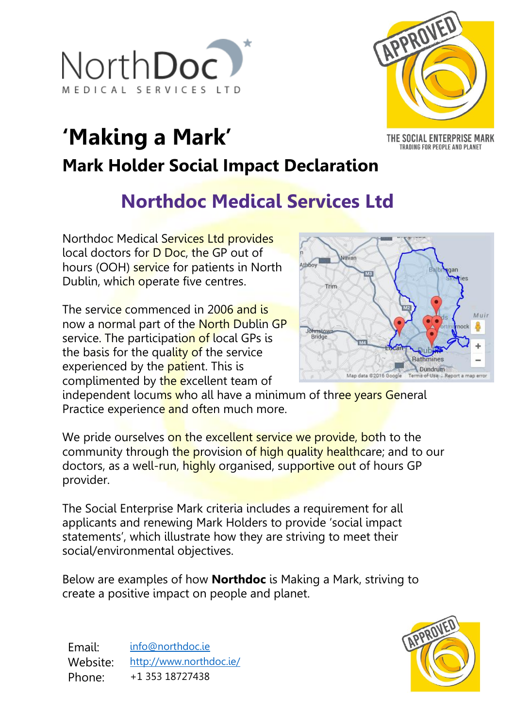



THE SOCIAL ENTERPRISE MARK TRADING FOR PEOPLE AND PLANET

# **'Making a Mark' Mark Holder Social Impact Declaration**

## **Northdoc Medical Services Ltd**

Northdoc Medical Services Ltd provides local doctors for D Doc, the GP out of hours (OOH) service for patients in North Dublin, which operate five centres.

The service commenced in 2006 and is now a normal part of the North Dublin GP service. The participation of local GPs is the basis for the quality of the service experienced by the **patient**. This is complimented by the excellent team of



independent locums who all have a minimum of three years General Practice experience and often much more.

We pride ourselves on the excellent service we provide, both to the community through the provision of high quality healthcare; and to our doctors, as a well-run, highly organised, supportive out of hours GP provider.

The Social Enterprise Mark criteria includes a requirement for all applicants and renewing Mark Holders to provide 'social impact statements', which illustrate how they are striving to meet their social/environmental objectives.

Below are examples of how **Northdoc** is Making a Mark, striving to create a positive impact on people and planet.

Email: [info@northdoc.ie](mailto:info@northdoc.ie) Website: <http://www.northdoc.ie/> Phone: +1 353 18727438